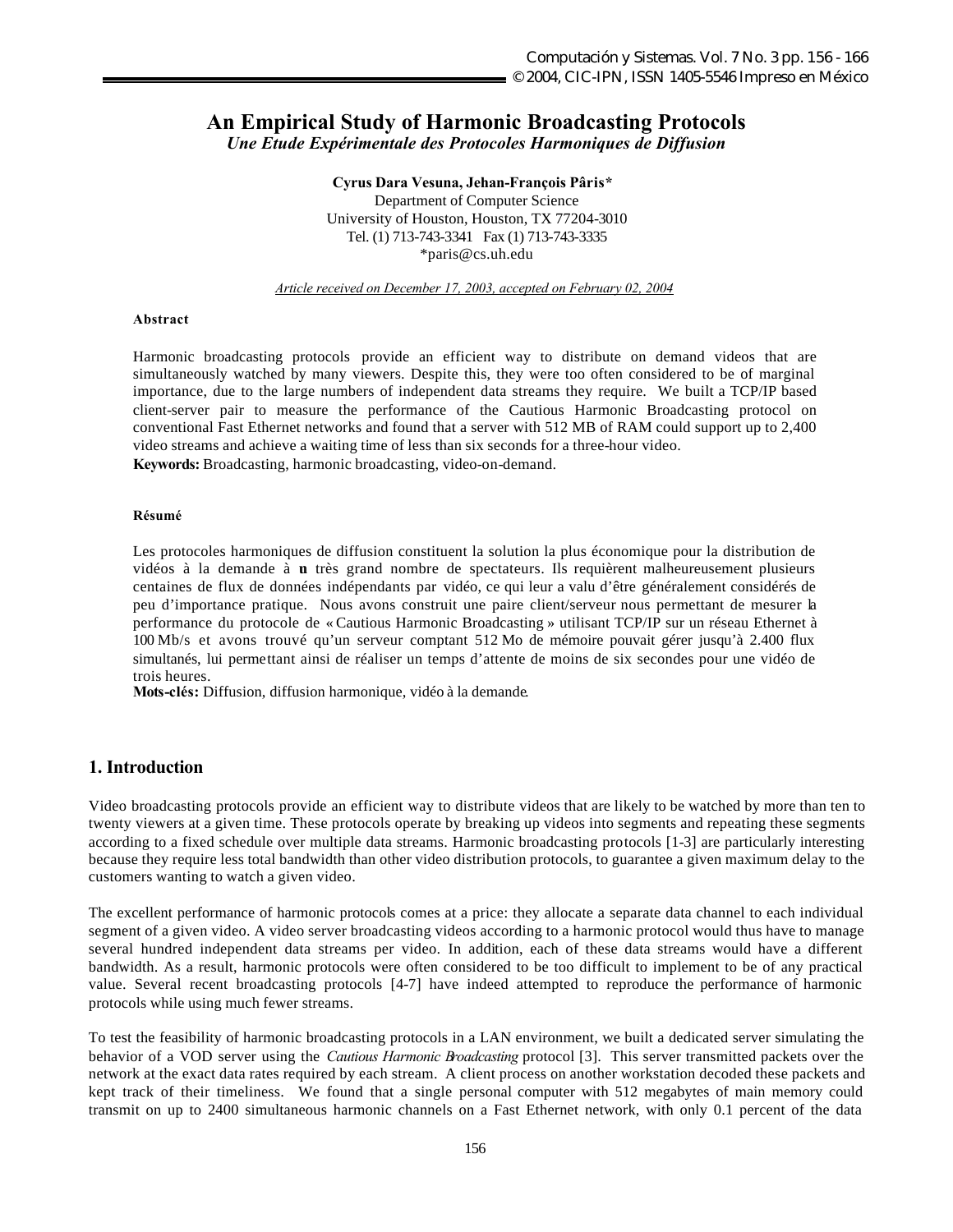# **An Empirical Study of Harmonic Broadcasting Protocols**

*Une Etude Expérimentale des Protocoles Harmoniques de Diffusion*

**Cyrus Dara Vesuna, Jehan-François Pâris\*** Department of Computer Science University of Houston, Houston, TX 77204-3010 Tel. (1) 713-743-3341 Fax (1) 713-743-3335 \*paris@cs.uh.edu

*Article received on December 17, 2003, accepted on February 02, 2004*

#### **Abstract**

Harmonic broadcasting protocols provide an efficient way to distribute on demand videos that are simultaneously watched by many viewers. Despite this, they were too often considered to be of marginal importance, due to the large numbers of independent data streams they require. We built a TCP/IP based client-server pair to measure the performance of the Cautious Harmonic Broadcasting protocol on conventional Fast Ethernet networks and found that a server with 512 MB of RAM could support up to 2,400 video streams and achieve a waiting time of less than six seconds for a three-hour video. **Keywords:** Broadcasting, harmonic broadcasting, video-on-demand.

#### **Résumé**

Les protocoles harmoniques de diffusion constituent la solution la plus économique pour la distribution de vidéos à la demande à **u** très grand nombre de spectateurs. Ils requièrent malheureusement plusieurs centaines de flux de données indépendants par vidéo, ce qui leur a valu d'être généralement considérés de peu d'importance pratique. Nous avons construit une paire client/serveur nous permettant de mesurer la performance du protocole de « Cautious Harmonic Broadcasting » utilisant TCP/IP sur un réseau Ethernet à 100 Mb/s et avons trouvé qu'un serveur comptant 512 Mo de mémoire pouvait gérer jusqu'à 2.400 flux simultanés, lui permettant ainsi de réaliser un temps d'attente de moins de six secondes pour une vidéo de trois heures.

**Mots-clés:** Diffusion, diffusion harmonique, vidéo à la demande.

## **1. Introduction**

Video broadcasting protocols provide an efficient way to distribute videos that are likely to be watched by more than ten to twenty viewers at a given time. These protocols operate by breaking up videos into segments and repeating these segments according to a fixed schedule over multiple data streams. Harmonic broadcasting protocols [1-3] are particularly interesting because they require less total bandwidth than other video distribution protocols, to guarantee a given maximum delay to the customers wanting to watch a given video.

The excellent performance of harmonic protocols comes at a price: they allocate a separate data channel to each individual segment of a given video. A video server broadcasting videos according to a harmonic protocol would thus have to manage several hundred independent data streams per video. In addition, each of these data streams would have a different bandwidth. As a result, harmonic protocols were often considered to be too difficult to implement to be of any practical value. Several recent broadcasting protocols [4-7] have indeed attempted to reproduce the performance of harmonic protocols while using much fewer streams.

To test the feasibility of harmonic broadcasting protocols in a LAN environment, we built a dedicated server simulating the behavior of a VOD server using the *Cautious Harmonic Broadcasting* protocol [3]. This server transmitted packets over the network at the exact data rates required by each stream. A client process on another workstation decoded these packets and kept track of their timeliness. We found that a single personal computer with 512 megabytes of main memory could transmit on up to 2400 simultaneous harmonic channels on a Fast Ethernet network, with only 0.1 percent of the data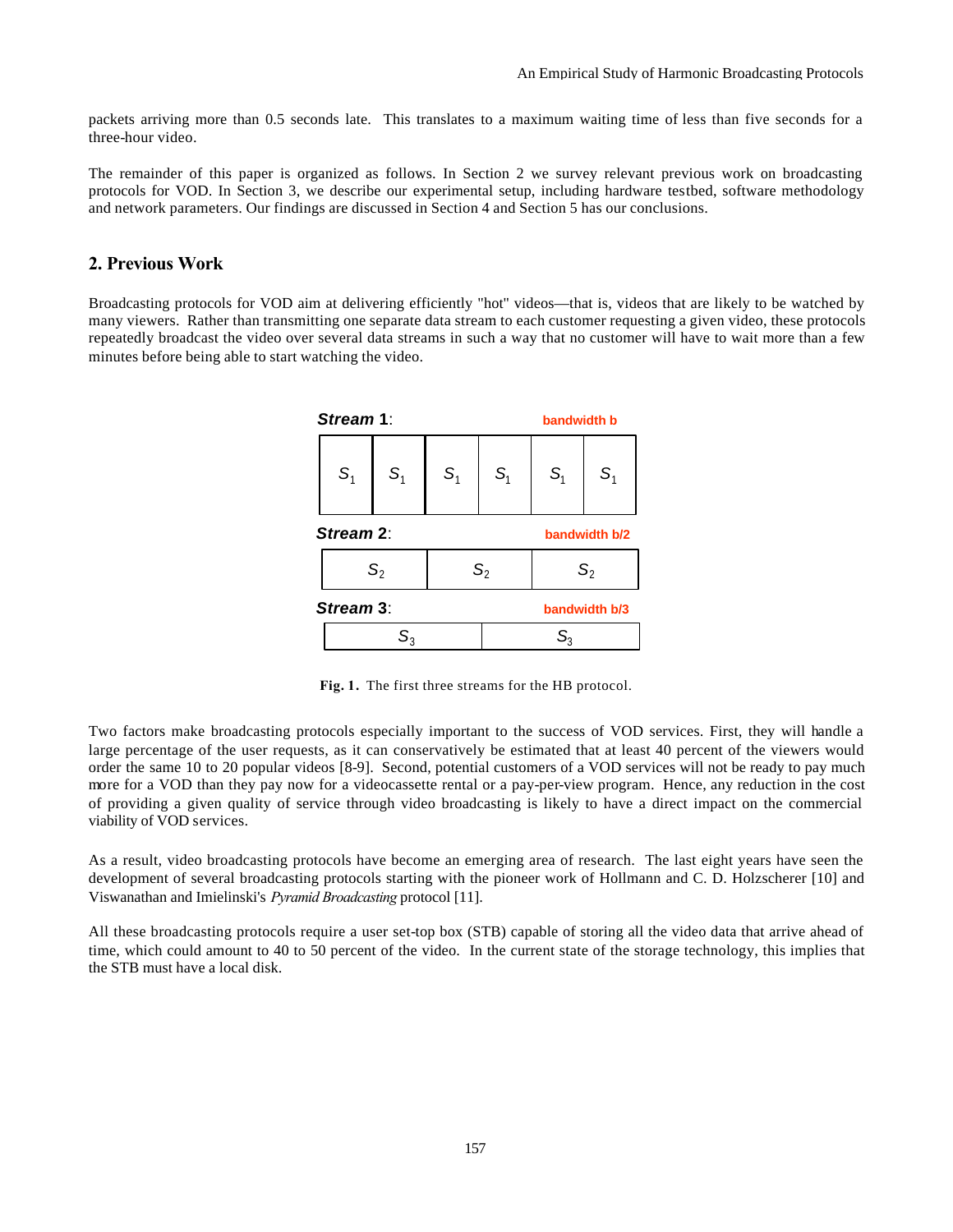packets arriving more than 0.5 seconds late. This translates to a maximum waiting time of less than five seconds for a three-hour video.

The remainder of this paper is organized as follows. In Section 2 we survey relevant previous work on broadcasting protocols for VOD. In Section 3, we describe our experimental setup, including hardware testbed, software methodology and network parameters. Our findings are discussed in Section 4 and Section 5 has our conclusions.

## **2. Previous Work**

Broadcasting protocols for VOD aim at delivering efficiently "hot'' videos—that is, videos that are likely to be watched by many viewers. Rather than transmitting one separate data stream to each customer requesting a given video, these protocols repeatedly broadcast the video over several data streams in such a way that no customer will have to wait more than a few minutes before being able to start watching the video.



**Fig. 1.** The first three streams for the HB protocol.

Two factors make broadcasting protocols especially important to the success of VOD services. First, they will handle a large percentage of the user requests, as it can conservatively be estimated that at least 40 percent of the viewers would order the same 10 to 20 popular videos [8-9]. Second, potential customers of a VOD services will not be ready to pay much more for a VOD than they pay now for a videocassette rental or a pay-per-view program. Hence, any reduction in the cost of providing a given quality of service through video broadcasting is likely to have a direct impact on the commercial viability of VOD services.

As a result, video broadcasting protocols have become an emerging area of research. The last eight years have seen the development of several broadcasting protocols starting with the pioneer work of Hollmann and C. D. Holzscherer [10] and Viswanathan and Imielinski's *Pyramid Broadcasting* protocol [11].

All these broadcasting protocols require a user set-top box (STB) capable of storing all the video data that arrive ahead of time, which could amount to 40 to 50 percent of the video. In the current state of the storage technology, this implies that the STB must have a local disk.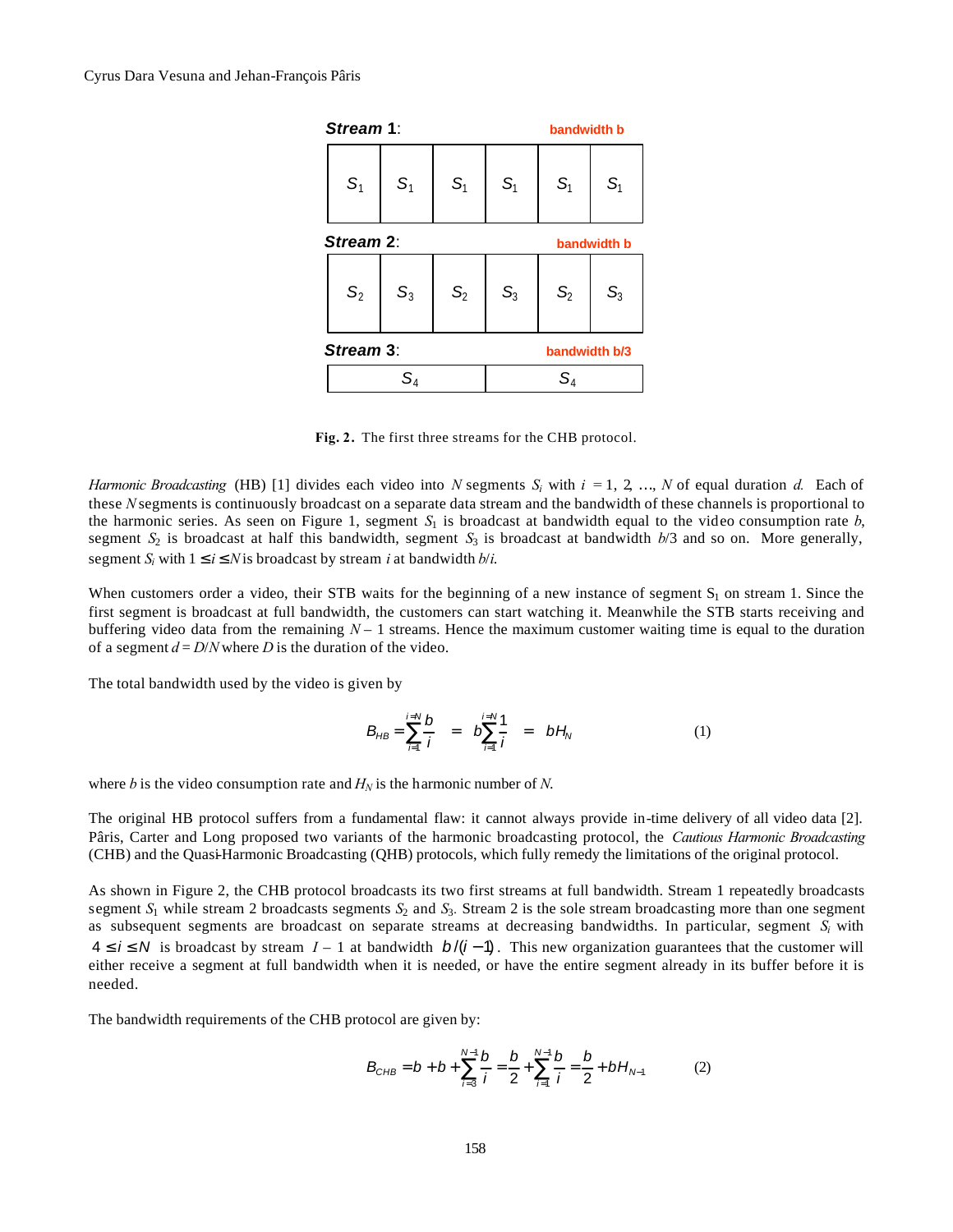

**Fig. 2.** The first three streams for the CHB protocol.

*Harmonic Broadcasting* (HB) [1] divides each video into *N* segments  $S_i$  with  $i = 1, 2, ..., N$  of equal duration *d.* Each of these *N* segments is continuously broadcast on a separate data stream and the bandwidth of these channels is proportional to the harmonic series. As seen on Figure 1, segment  $S_1$  is broadcast at bandwidth equal to the video consumption rate  $b$ , segment  $S_2$  is broadcast at half this bandwidth, segment  $S_3$  is broadcast at bandwidth  $b/3$  and so on. More generally, segment  $S_i$  with  $1 \le i \le N$  is broadcast by stream *i* at bandwidth  $b/i$ .

When customers order a video, their STB waits for the beginning of a new instance of segment  $S_1$  on stream 1. Since the first segment is broadcast at full bandwidth, the customers can start watching it. Meanwhile the STB starts receiving and buffering video data from the remaining  $N-1$  streams. Hence the maximum customer waiting time is equal to the duration of a segment  $d = D/N$  where *D* is the duration of the video.

The total bandwidth used by the video is given by

$$
B_{HB} = \sum_{i=1}^{i=N} \frac{b}{i} = b \sum_{i=1}^{i=N} \frac{1}{i} = b H_N
$$
 (1)

where *b* is the video consumption rate and  $H_N$  is the harmonic number of *N*.

The original HB protocol suffers from a fundamental flaw: it cannot always provide in-time delivery of all video data [2]. Pâris, Carter and Long proposed two variants of the harmonic broadcasting protocol, the *Cautious Harmonic Broadcasting*  (CHB) and the Quasi-Harmonic Broadcasting (QHB) protocols, which fully remedy the limitations of the original protocol.

As shown in Figure 2, the CHB protocol broadcasts its two first streams at full bandwidth. Stream 1 repeatedly broadcasts segment  $S_1$  while stream 2 broadcasts segments  $S_2$  and  $S_3$ . Stream 2 is the sole stream broadcasting more than one segment as subsequent segments are broadcast on separate streams at decreasing bandwidths. In particular, segment  $S_i$  with  $4 \le i \le N$  is broadcast by stream  $I-1$  at bandwidth  $b/(i-1)$ . This new organization guarantees that the customer will either receive a segment at full bandwidth when it is needed, or have the entire segment already in its buffer before it is needed.

The bandwidth requirements of the CHB protocol are given by:

$$
B_{CHB} = b + b + \sum_{i=3}^{N-1} \frac{b}{i} = \frac{b}{2} + \sum_{i=1}^{N-1} \frac{b}{i} = \frac{b}{2} + bH_{N-1}
$$
 (2)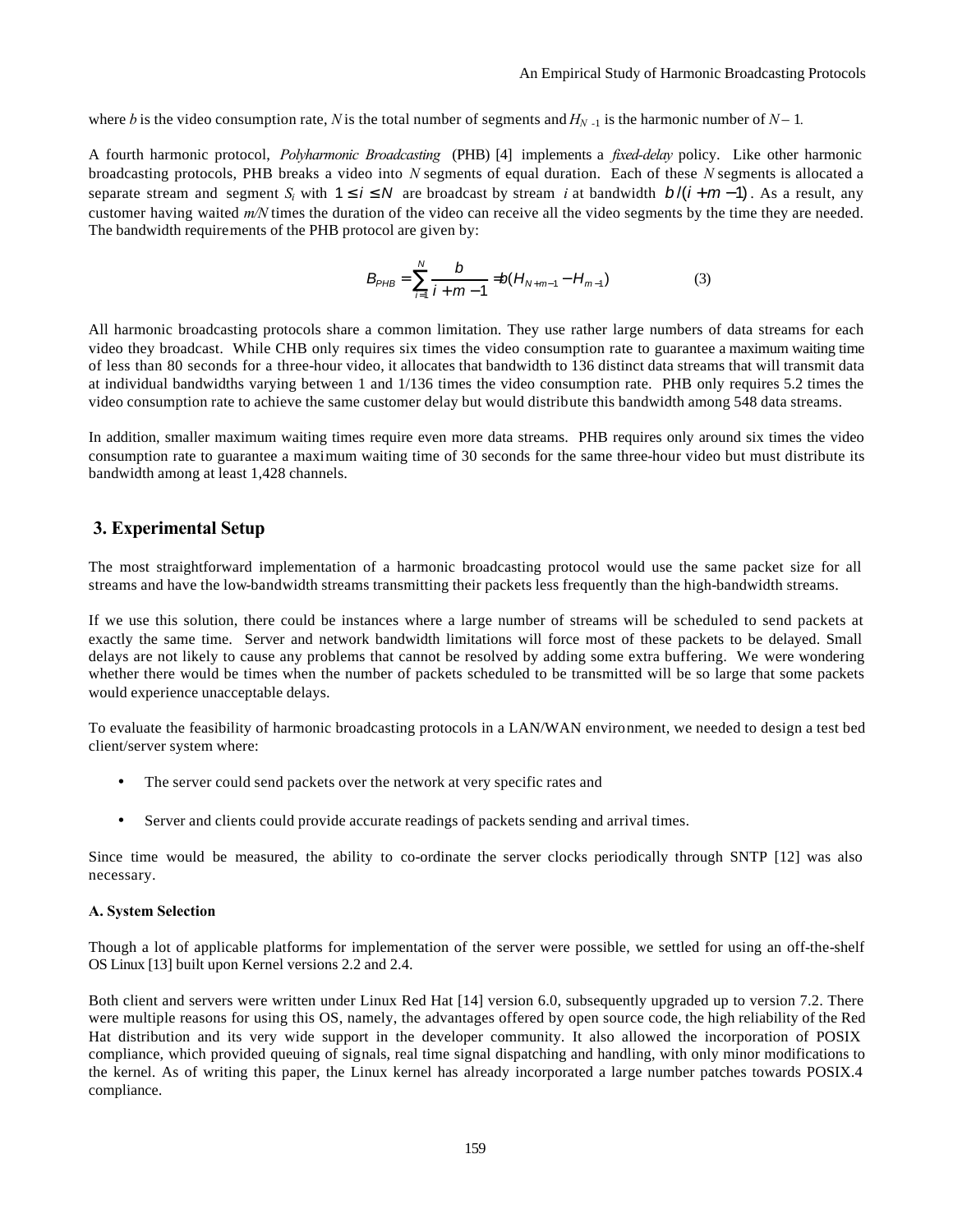where *b* is the video consumption rate, *N* is the total number of segments and  $H_{N-1}$  is the harmonic number of  $N-1$ .

A fourth harmonic protocol, *Polyharmonic Broadcasting* (PHB) [4] implements a *fixed-delay* policy. Like other harmonic broadcasting protocols, PHB breaks a video into *N* segments of equal duration. Each of these *N* segments is allocated a separate stream and segment *S<sub>i</sub>* with  $1 \le i \le N$  are broadcast by stream *i* at bandwidth  $b/(i+m-1)$ . As a result, any customer having waited *m/N* times the duration of the video can receive all the video segments by the time they are needed. The bandwidth requirements of the PHB protocol are given by:

$$
B_{PHB} = \sum_{i=1}^{N} \frac{b}{i+m-1} = b(H_{N+m-1} - H_{m-1})
$$
 (3)

All harmonic broadcasting protocols share a common limitation. They use rather large numbers of data streams for each video they broadcast. While CHB only requires six times the video consumption rate to guarantee a maximum waiting time of less than 80 seconds for a three-hour video, it allocates that bandwidth to 136 distinct data streams that will transmit data at individual bandwidths varying between 1 and 1/136 times the video consumption rate. PHB only requires 5.2 times the video consumption rate to achieve the same customer delay but would distribute this bandwidth among 548 data streams.

In addition, smaller maximum waiting times require even more data streams. PHB requires only around six times the video consumption rate to guarantee a maximum waiting time of 30 seconds for the same three-hour video but must distribute its bandwidth among at least 1,428 channels.

# **3. Experimental Setup**

The most straightforward implementation of a harmonic broadcasting protocol would use the same packet size for all streams and have the low-bandwidth streams transmitting their packets less frequently than the high-bandwidth streams.

If we use this solution, there could be instances where a large number of streams will be scheduled to send packets at exactly the same time. Server and network bandwidth limitations will force most of these packets to be delayed. Small delays are not likely to cause any problems that cannot be resolved by adding some extra buffering. We were wondering whether there would be times when the number of packets scheduled to be transmitted will be so large that some packets would experience unacceptable delays.

To evaluate the feasibility of harmonic broadcasting protocols in a LAN/WAN environment, we needed to design a test bed client/server system where:

- The server could send packets over the network at very specific rates and
- Server and clients could provide accurate readings of packets sending and arrival times.

Since time would be measured, the ability to co-ordinate the server clocks periodically through SNTP [12] was also necessary.

#### **A. System Selection**

Though a lot of applicable platforms for implementation of the server were possible, we settled for using an off-the-shelf OS Linux [13] built upon Kernel versions 2.2 and 2.4.

Both client and servers were written under Linux Red Hat [14] version 6.0, subsequently upgraded up to version 7.2. There were multiple reasons for using this OS, namely, the advantages offered by open source code, the high reliability of the Red Hat distribution and its very wide support in the developer community. It also allowed the incorporation of POSIX compliance, which provided queuing of signals, real time signal dispatching and handling, with only minor modifications to the kernel. As of writing this paper, the Linux kernel has already incorporated a large number patches towards POSIX.4 compliance.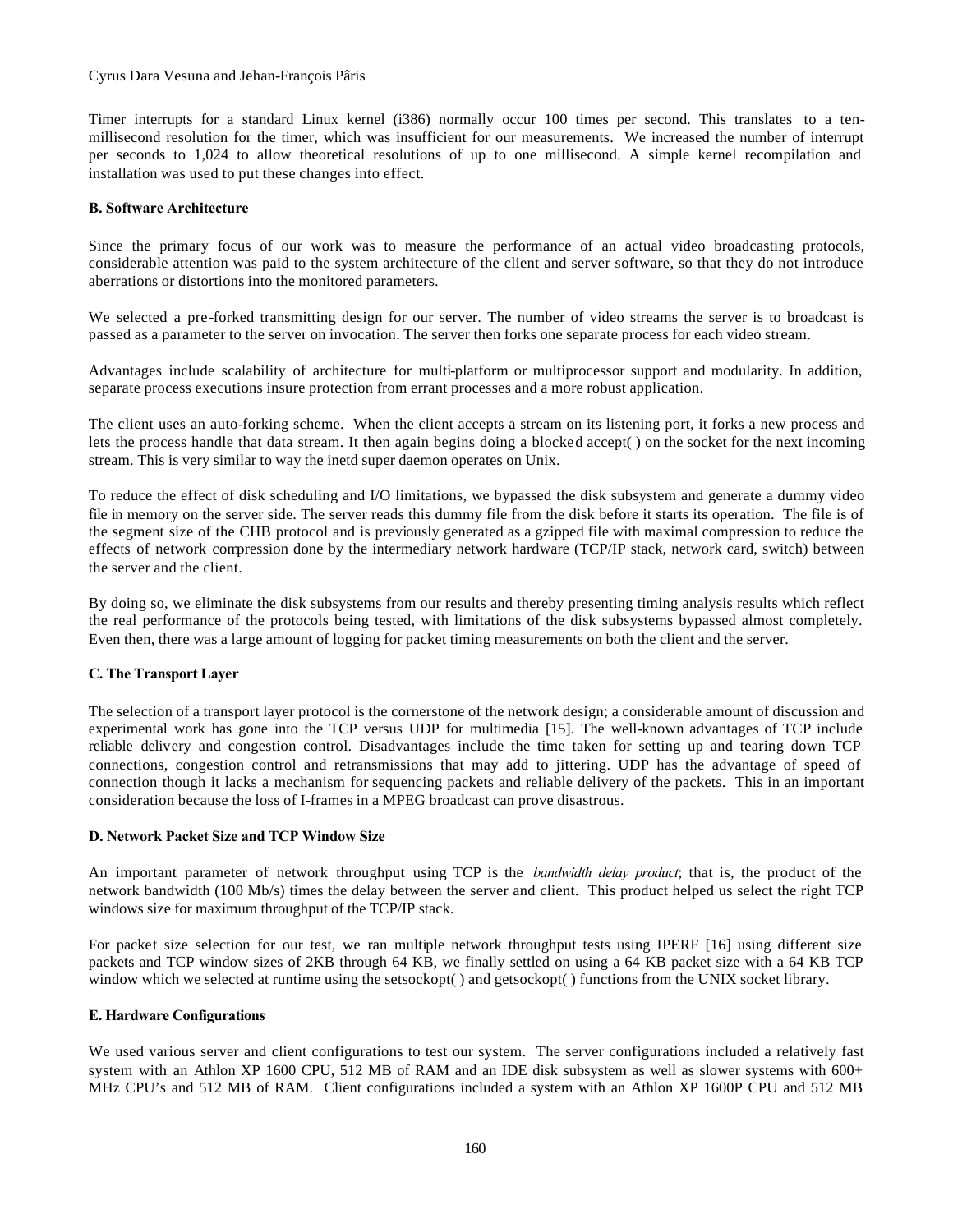#### Cyrus Dara Vesuna and Jehan-François Pâris

Timer interrupts for a standard Linux kernel (i386) normally occur 100 times per second. This translates to a tenmillisecond resolution for the timer, which was insufficient for our measurements. We increased the number of interrupt per seconds to 1,024 to allow theoretical resolutions of up to one millisecond. A simple kernel recompilation and installation was used to put these changes into effect.

#### **B. Software Architecture**

Since the primary focus of our work was to measure the performance of an actual video broadcasting protocols, considerable attention was paid to the system architecture of the client and server software, so that they do not introduce aberrations or distortions into the monitored parameters.

We selected a pre-forked transmitting design for our server. The number of video streams the server is to broadcast is passed as a parameter to the server on invocation. The server then forks one separate process for each video stream.

Advantages include scalability of architecture for multi-platform or multiprocessor support and modularity. In addition, separate process executions insure protection from errant processes and a more robust application.

The client uses an auto-forking scheme. When the client accepts a stream on its listening port, it forks a new process and lets the process handle that data stream. It then again begins doing a blocked accept( ) on the socket for the next incoming stream. This is very similar to way the inetd super daemon operates on Unix.

To reduce the effect of disk scheduling and I/O limitations, we bypassed the disk subsystem and generate a dummy video file in memory on the server side. The server reads this dummy file from the disk before it starts its operation. The file is of the segment size of the CHB protocol and is previously generated as a gzipped file with maximal compression to reduce the effects of network compression done by the intermediary network hardware (TCP/IP stack, network card, switch) between the server and the client.

By doing so, we eliminate the disk subsystems from our results and thereby presenting timing analysis results which reflect the real performance of the protocols being tested, with limitations of the disk subsystems bypassed almost completely. Even then, there was a large amount of logging for packet timing measurements on both the client and the server.

#### **C. The Transport Layer**

The selection of a transport layer protocol is the cornerstone of the network design; a considerable amount of discussion and experimental work has gone into the TCP versus UDP for multimedia [15]. The well-known advantages of TCP include reliable delivery and congestion control. Disadvantages include the time taken for setting up and tearing down TCP connections, congestion control and retransmissions that may add to jittering. UDP has the advantage of speed of connection though it lacks a mechanism for sequencing packets and reliable delivery of the packets. This in an important consideration because the loss of I-frames in a MPEG broadcast can prove disastrous.

#### **D. Network Packet Size and TCP Window Size**

An important parameter of network throughput using TCP is the *bandwidth delay product*; that is, the product of the network bandwidth (100 Mb/s) times the delay between the server and client. This product helped us select the right TCP windows size for maximum throughput of the TCP/IP stack.

For packet size selection for our test, we ran multiple network throughput tests using IPERF [16] using different size packets and TCP window sizes of 2KB through 64 KB, we finally settled on using a 64 KB packet size with a 64 KB TCP window which we selected at runtime using the setsockopt() and getsockopt() functions from the UNIX socket library.

#### **E. Hardware Configurations**

We used various server and client configurations to test our system. The server configurations included a relatively fast system with an Athlon XP 1600 CPU, 512 MB of RAM and an IDE disk subsystem as well as slower systems with 600+ MHz CPU's and 512 MB of RAM. Client configurations included a system with an Athlon XP 1600P CPU and 512 MB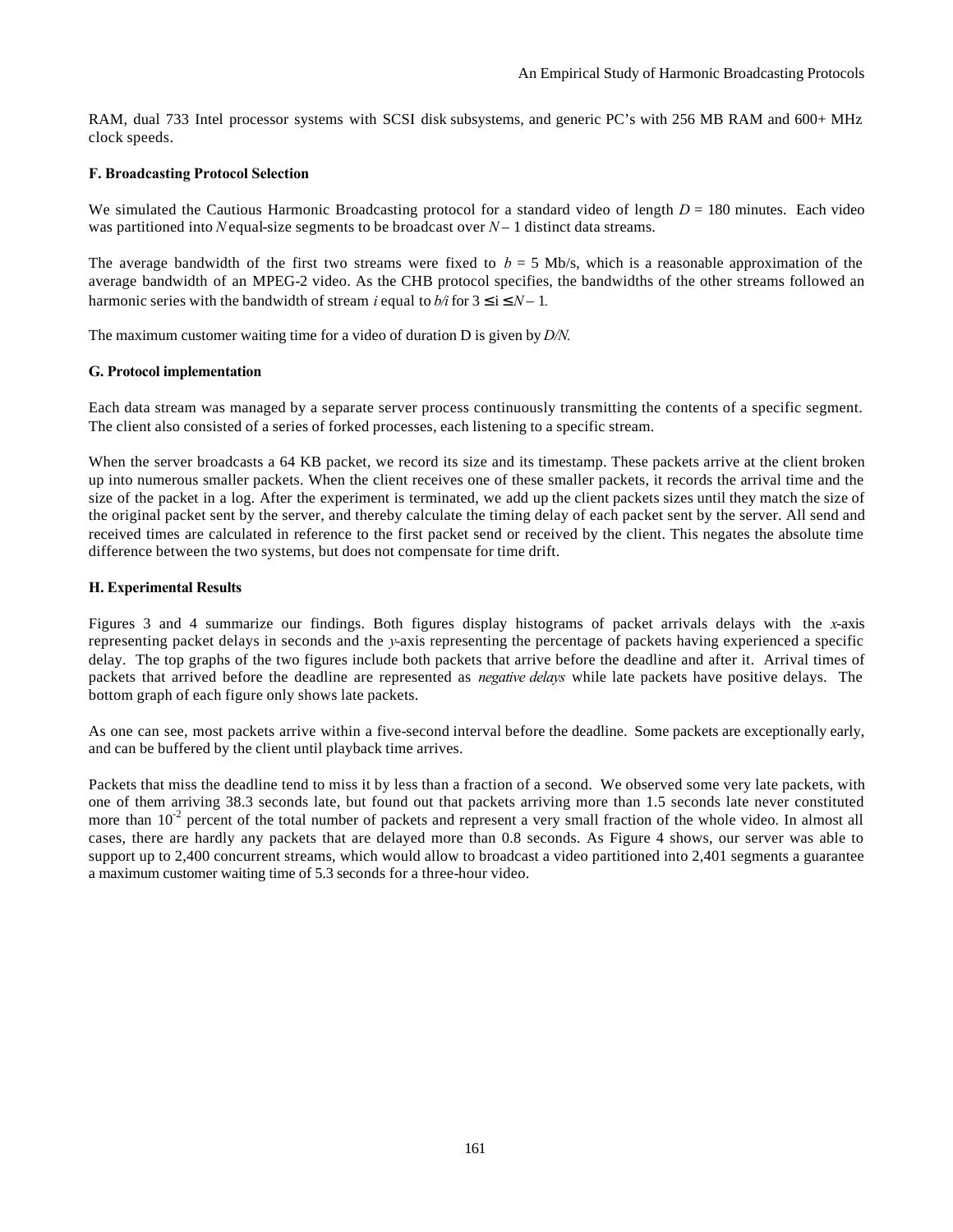RAM, dual 733 Intel processor systems with SCSI disk subsystems, and generic PC's with 256 MB RAM and 600+ MHz clock speeds.

#### **F. Broadcasting Protocol Selection**

We simulated the Cautious Harmonic Broadcasting protocol for a standard video of length *D* = 180 minutes. Each video was partitioned into *N* equal-size segments to be broadcast over  $N-1$  distinct data streams.

The average bandwidth of the first two streams were fixed to  $b = 5$  Mb/s, which is a reasonable approximation of the average bandwidth of an MPEG-2 video. As the CHB protocol specifies, the bandwidths of the other streams followed an harmonic series with the bandwidth of stream *i* equal to  $b/i$  for  $3 \le i \le N - 1$ .

The maximum customer waiting time for a video of duration D is given by *D/N.*

#### **G. Protocol implementation**

Each data stream was managed by a separate server process continuously transmitting the contents of a specific segment. The client also consisted of a series of forked processes, each listening to a specific stream.

When the server broadcasts a 64 KB packet, we record its size and its timestamp. These packets arrive at the client broken up into numerous smaller packets. When the client receives one of these smaller packets, it records the arrival time and the size of the packet in a log. After the experiment is terminated, we add up the client packets sizes until they match the size of the original packet sent by the server, and thereby calculate the timing delay of each packet sent by the server. All send and received times are calculated in reference to the first packet send or received by the client. This negates the absolute time difference between the two systems, but does not compensate for time drift.

#### **H. Experimental Results**

Figures 3 and 4 summarize our findings. Both figures display histograms of packet arrivals delays with the *x*-axis representing packet delays in seconds and the *y-*axis representing the percentage of packets having experienced a specific delay. The top graphs of the two figures include both packets that arrive before the deadline and after it. Arrival times of packets that arrived before the deadline are represented as *negative delays* while late packets have positive delays. The bottom graph of each figure only shows late packets.

As one can see, most packets arrive within a five-second interval before the deadline. Some packets are exceptionally early, and can be buffered by the client until playback time arrives.

Packets that miss the deadline tend to miss it by less than a fraction of a second. We observed some very late packets, with one of them arriving 38.3 seconds late, but found out that packets arriving more than 1.5 seconds late never constituted more than  $10^{-2}$  percent of the total number of packets and represent a very small fraction of the whole video. In almost all cases, there are hardly any packets that are delayed more than 0.8 seconds. As Figure 4 shows, our server was able to support up to 2,400 concurrent streams, which would allow to broadcast a video partitioned into 2,401 segments a guarantee a maximum customer waiting time of 5.3 seconds for a three-hour video.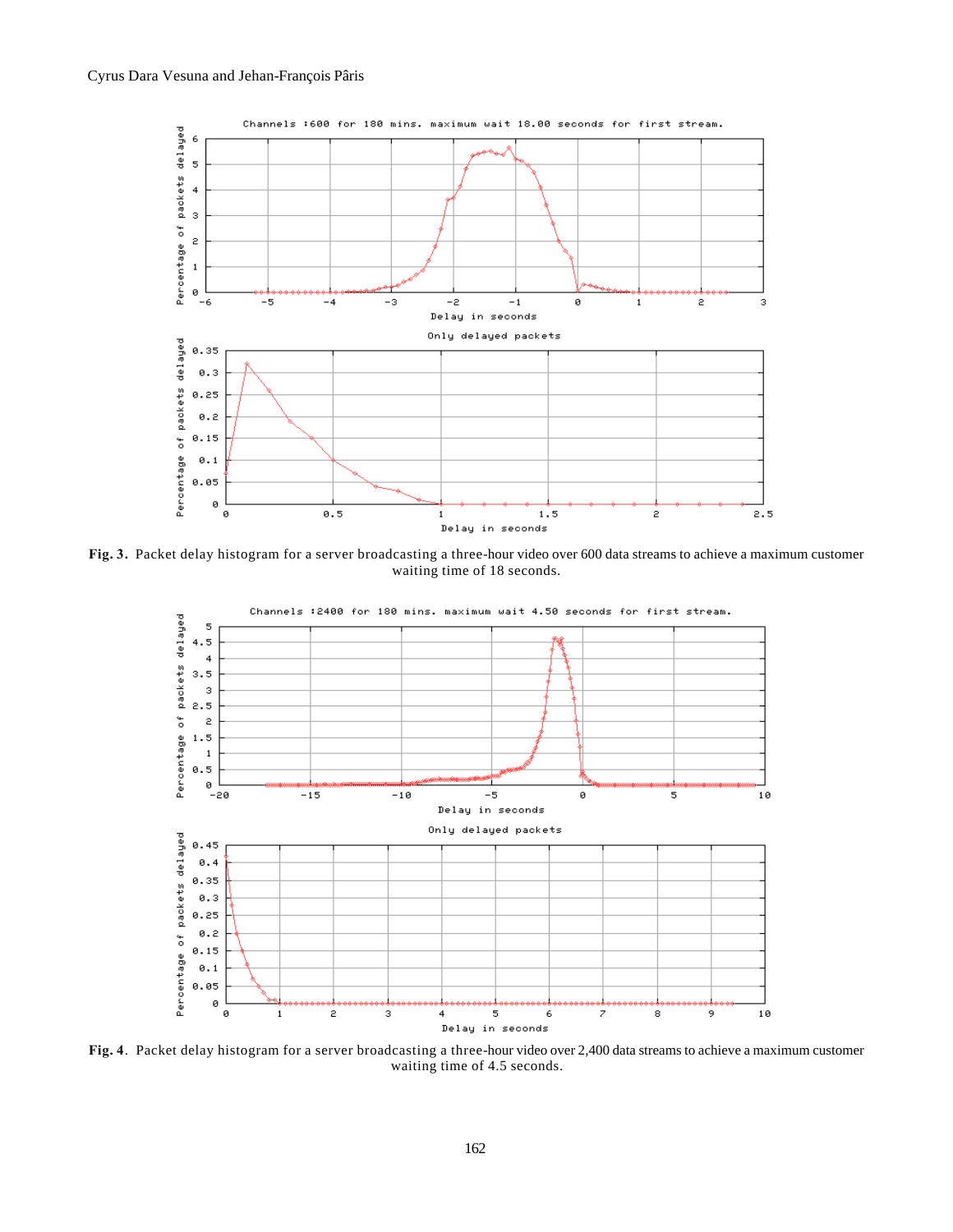

**Fig. 3.** Packet delay histogram for a server broadcasting a three-hour video over 600 data streams to achieve a maximum customer waiting time of 18 seconds.



**Fig. 4**. Packet delay histogram for a server broadcasting a three-hour video over 2,400 data streams to achieve a maximum customer waiting time of 4.5 seconds.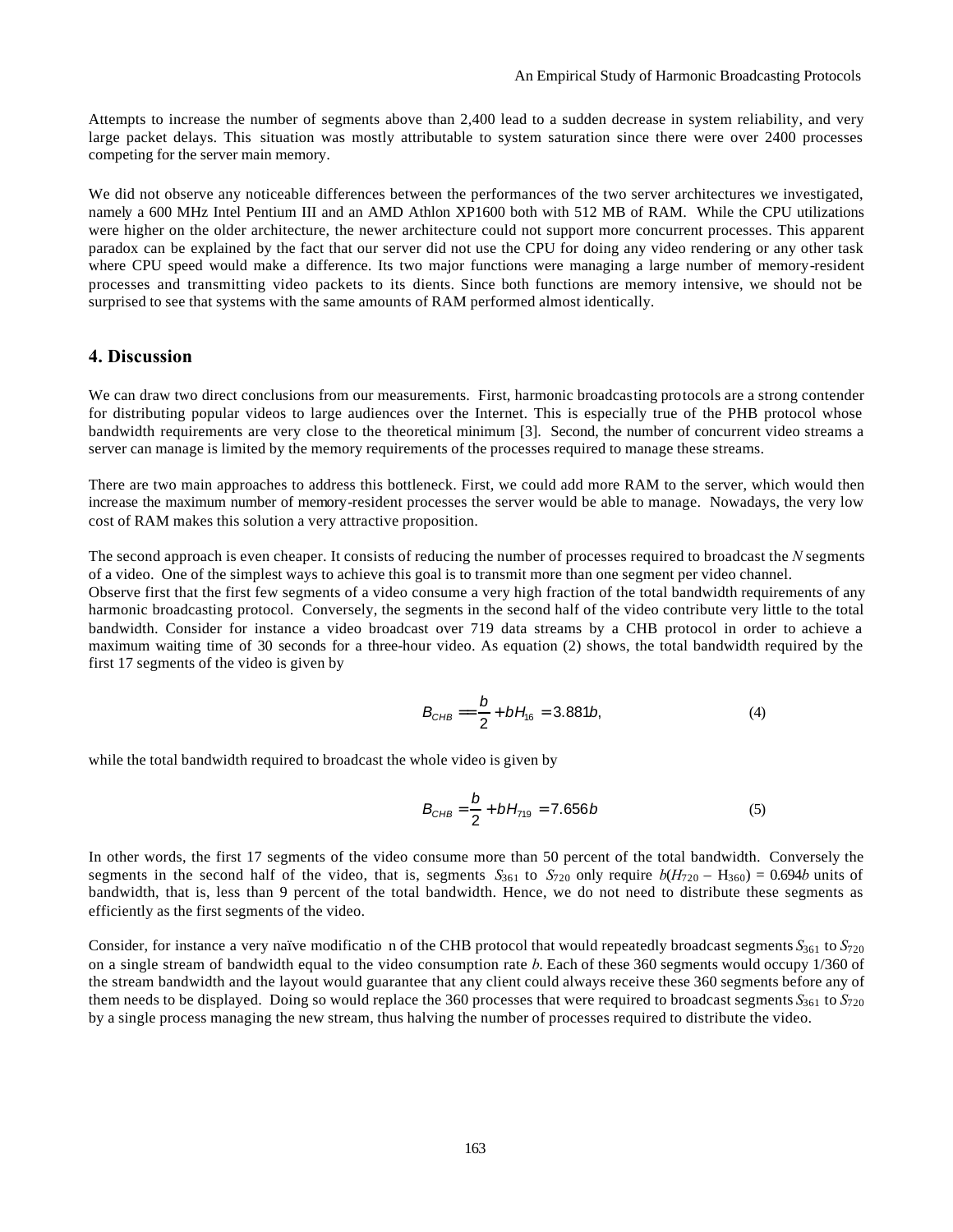Attempts to increase the number of segments above than 2,400 lead to a sudden decrease in system reliability, and very large packet delays. This situation was mostly attributable to system saturation since there were over 2400 processes competing for the server main memory.

We did not observe any noticeable differences between the performances of the two server architectures we investigated, namely a 600 MHz Intel Pentium III and an AMD Athlon XP1600 both with 512 MB of RAM. While the CPU utilizations were higher on the older architecture, the newer architecture could not support more concurrent processes. This apparent paradox can be explained by the fact that our server did not use the CPU for doing any video rendering or any other task where CPU speed would make a difference. Its two major functions were managing a large number of memory-resident processes and transmitting video packets to its dients. Since both functions are memory intensive, we should not be surprised to see that systems with the same amounts of RAM performed almost identically.

#### **4. Discussion**

We can draw two direct conclusions from our measurements. First, harmonic broadcasting protocols are a strong contender for distributing popular videos to large audiences over the Internet. This is especially true of the PHB protocol whose bandwidth requirements are very close to the theoretical minimum [3]. Second, the number of concurrent video streams a server can manage is limited by the memory requirements of the processes required to manage these streams.

There are two main approaches to address this bottleneck. First, we could add more RAM to the server, which would then increase the maximum number of memory-resident processes the server would be able to manage. Nowadays, the very low cost of RAM makes this solution a very attractive proposition.

The second approach is even cheaper. It consists of reducing the number of processes required to broadcast the *N* segments of a video. One of the simplest ways to achieve this goal is to transmit more than one segment per video channel.

Observe first that the first few segments of a video consume a very high fraction of the total bandwidth requirements of any harmonic broadcasting protocol. Conversely, the segments in the second half of the video contribute very little to the total bandwidth. Consider for instance a video broadcast over 719 data streams by a CHB protocol in order to achieve a maximum waiting time of 30 seconds for a three-hour video. As equation (2) shows, the total bandwidth required by the first 17 segments of the video is given by

$$
B_{CHB} = \frac{b}{2} + bH_{16} = 3.881b,
$$
 (4)

while the total bandwidth required to broadcast the whole video is given by

$$
B_{CHB} = \frac{b}{2} + bH_{719} = 7.656b
$$
 (5)

In other words, the first 17 segments of the video consume more than 50 percent of the total bandwidth. Conversely the segments in the second half of the video, that is, segments  $S_{361}$  to  $S_{720}$  only require  $b(H_{720} - H_{360}) = 0.694b$  units of bandwidth, that is, less than 9 percent of the total bandwidth. Hence, we do not need to distribute these segments as efficiently as the first segments of the video.

Consider, for instance a very naïve modificatio n of the CHB protocol that would repeatedly broadcast segments *S*361 to *S*<sup>720</sup> on a single stream of bandwidth equal to the video consumption rate *b*. Each of these 360 segments would occupy 1/360 of the stream bandwidth and the layout would guarantee that any client could always receive these 360 segments before any of them needs to be displayed. Doing so would replace the 360 processes that were required to broadcast segments  $S_{361}$  to  $S_{720}$ by a single process managing the new stream, thus halving the number of processes required to distribute the video.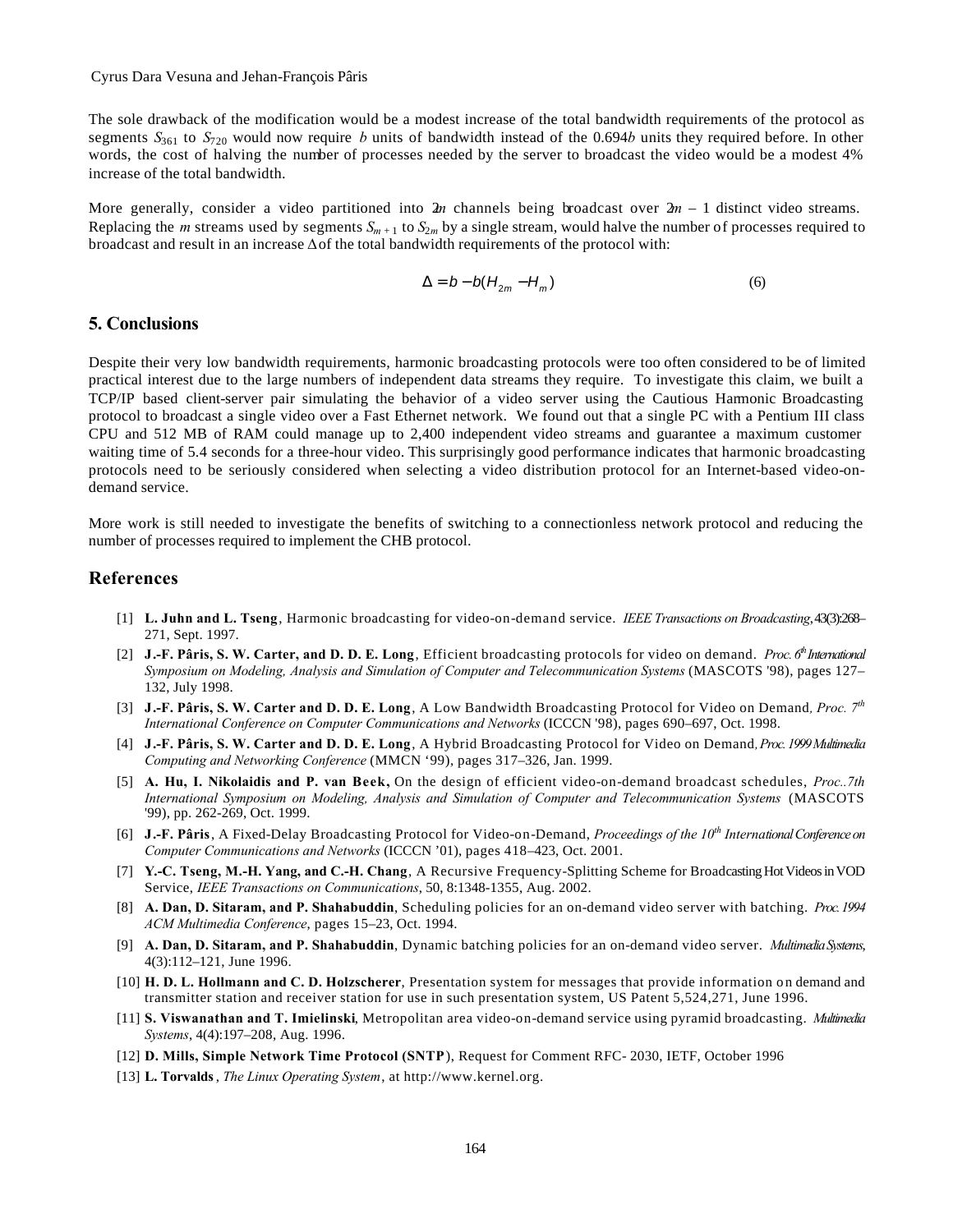#### Cyrus Dara Vesuna and Jehan-François Pâris

The sole drawback of the modification would be a modest increase of the total bandwidth requirements of the protocol as segments  $S_{361}$  to  $S_{720}$  would now require *b* units of bandwidth instead of the 0.694*b* units they required before. In other words, the cost of halving the number of processes needed by the server to broadcast the video would be a modest 4% increase of the total bandwidth.

More generally, consider a video partitioned into  $2m$  channels being broadcast over  $2m - 1$  distinct video streams. Replacing the *m* streams used by segments  $S_{m+1}$  to  $S_{2m}$  by a single stream, would halve the number of processes required to broadcast and result in an increase  $\Delta$  of the total bandwidth requirements of the protocol with:

$$
\Delta = b - b(H_{2m} - H_m) \tag{6}
$$

## **5. Conclusions**

Despite their very low bandwidth requirements, harmonic broadcasting protocols were too often considered to be of limited practical interest due to the large numbers of independent data streams they require. To investigate this claim, we built a TCP/IP based client-server pair simulating the behavior of a video server using the Cautious Harmonic Broadcasting protocol to broadcast a single video over a Fast Ethernet network. We found out that a single PC with a Pentium III class CPU and 512 MB of RAM could manage up to 2,400 independent video streams and guarantee a maximum customer waiting time of 5.4 seconds for a three-hour video. This surprisingly good performance indicates that harmonic broadcasting protocols need to be seriously considered when selecting a video distribution protocol for an Internet-based video-ondemand service.

More work is still needed to investigate the benefits of switching to a connectionless network protocol and reducing the number of processes required to implement the CHB protocol.

#### **References**

- [1] **L. Juhn and L. Tseng**, Harmonic broadcasting for video-on-demand service. *IEEE Transactions on Broadcasting*, 43(3):268– 271, Sept. 1997.
- [2] **J.-F. Pâris, S. W. Carter, and D. D. E. Long,** Efficient broadcasting protocols for video on demand. *Proc. 6<sup>th</sup>* International *Symposium on Modeling, Analysis and Simulation of Computer and Telecommunication Systems* (MASCOTS '98), pages 127– 132, July 1998.
- [3] **J.-F. Pâris, S. W. Carter and D. D. E. Long**, A Low Bandwidth Broadcasting Protocol for Video on Demand*, Proc. 7th International Conference on Computer Communications and Networks* (ICCCN '98), pages 690–697, Oct. 1998.
- [4] **J.-F. Pâris, S. W. Carter and D. D. E. Long**, A Hybrid Broadcasting Protocol for Video on Demand*, Proc. 1999 Multimedia Computing and Networking Conference* (MMCN '99), pages 317–326, Jan. 1999.
- [5] **A. Hu, I. Nikolaidis and P. van Beek,** On the design of efficient video-on-demand broadcast schedules, *Proc..7th International Symposium on Modeling, Analysis and Simulation of Computer and Telecommunication Systems* (MASCOTS '99), pp. 262-269, Oct. 1999.
- [6] **J.-F. Pâris**, A Fixed-Delay Broadcasting Protocol for Video-on-Demand, *Proceedings of the 10th International Conference on Computer Communications and Networks* (ICCCN '01), pages 418–423, Oct. 2001.
- [7] **Y.-C. Tseng, M.-H. Yang, and C.-H. Chang**, A Recursive Frequency-Splitting Scheme for Broadcasting Hot Videos in VOD Service, *IEEE Transactions on Communications*, 50, 8:1348-1355, Aug. 2002.
- [8] **A. Dan, D. Sitaram, and P. Shahabuddin**, Scheduling policies for an on-demand video server with batching. *Proc. 1994 ACM Multimedia Conference*, pages 15–23, Oct. 1994.
- [9] **A. Dan, D. Sitaram, and P. Shahabuddin**, Dynamic batching policies for an on-demand video server. *Multimedia Systems*, 4(3):112–121, June 1996.
- [10] **H. D. L. Hollmann and C. D. Holzscherer**, Presentation system for messages that provide information o n demand and transmitter station and receiver station for use in such presentation system, US Patent 5,524,271, June 1996.
- [11] **S. Viswanathan and T. Imielinski**, Metropolitan area video-on-demand service using pyramid broadcasting. *Multimedia Systems*, 4(4):197–208, Aug. 1996.
- [12] **D. Mills, Simple Network Time Protocol (SNTP**), Request for Comment RFC- 2030, IETF, October 1996
- [13] **L. Torvalds**, *The Linux Operating System*, at http://www.kernel.org.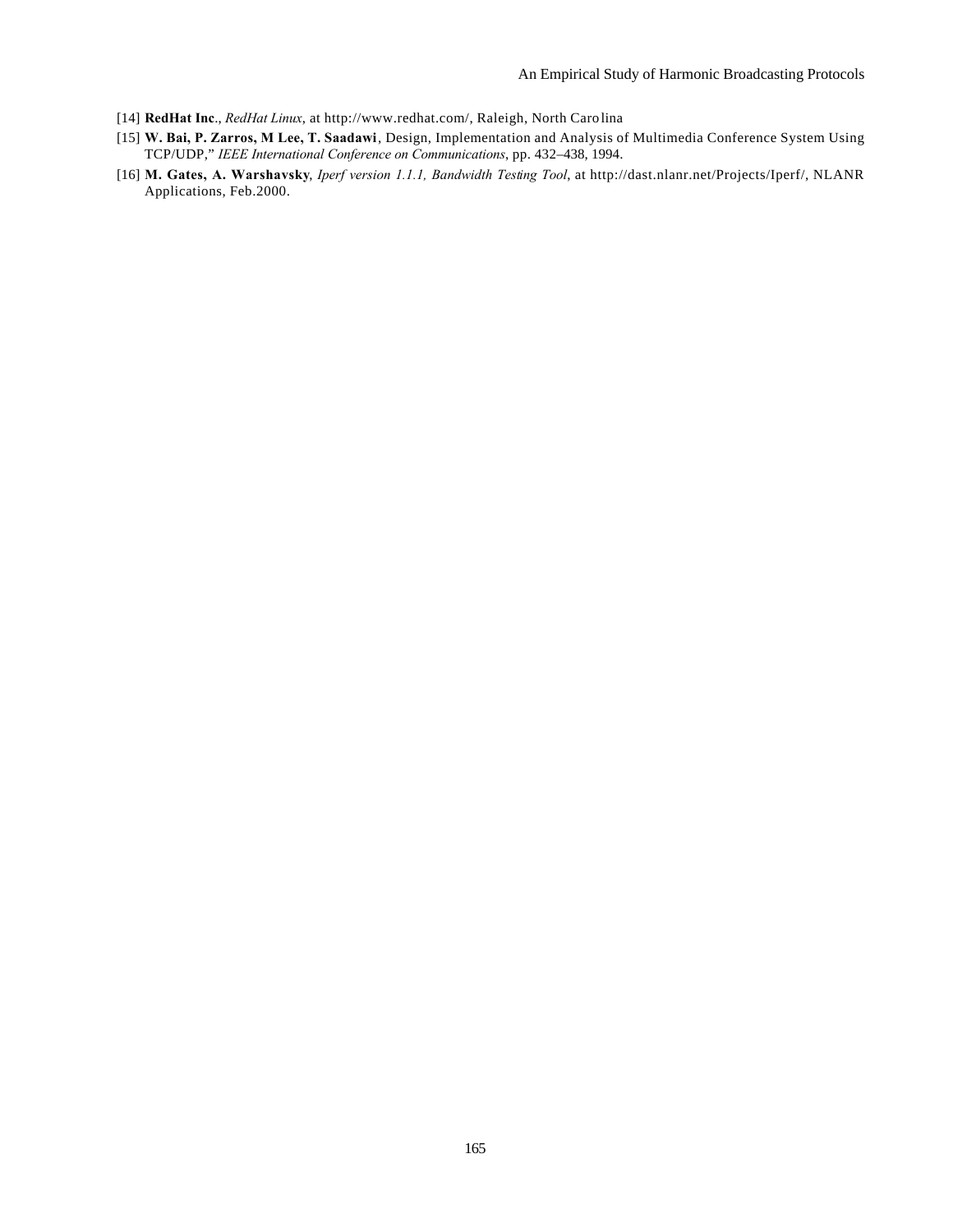- [14] **RedHat Inc**., *RedHat Linux*, at http://www.redhat.com/, Raleigh, North Carolina
- [15] **W. Bai, P. Zarros, M Lee, T. Saadawi**, Design, Implementation and Analysis of Multimedia Conference System Using TCP/UDP," *IEEE International Conference on Communications*, pp. 432–438, 1994.
- [16] **M. Gates, A. Warshavsky**, *Iperf version 1.1.1, Bandwidth Testing Tool*, at http://dast.nlanr.net/Projects/Iperf/, NLANR Applications, Feb.2000.